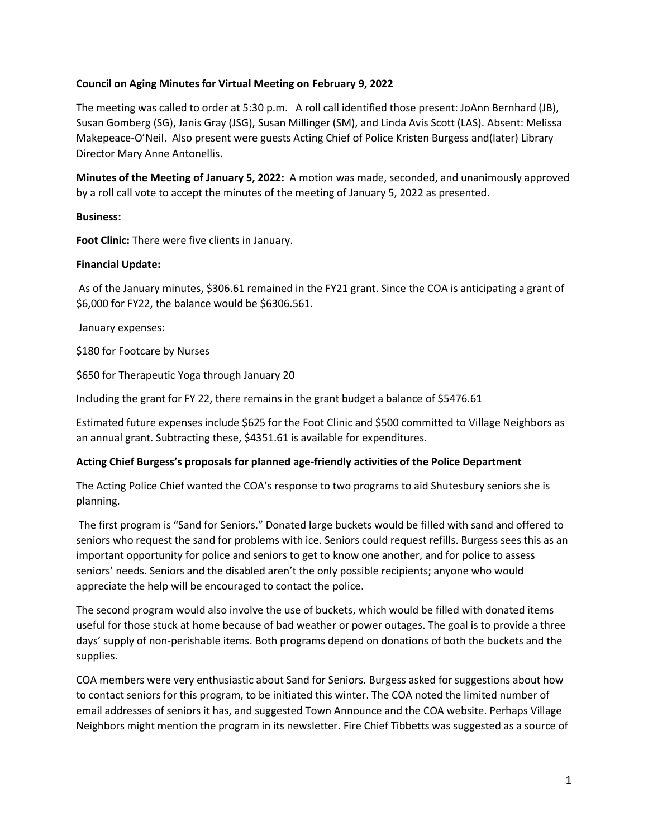## **Council on Aging Minutes for Virtual Meeting on February 9, 2022**

The meeting was called to order at 5:30 p.m. A roll call identified those present: JoAnn Bernhard (JB), Susan Gomberg (SG), Janis Gray (JSG), Susan Millinger (SM), and Linda Avis Scott (LAS). Absent: Melissa Makepeace-O'Neil. Also present were guests Acting Chief of Police Kristen Burgess and(later) Library Director Mary Anne Antonellis.

**Minutes of the Meeting of January 5, 2022:** A motion was made, seconded, and unanimously approved by a roll call vote to accept the minutes of the meeting of January 5, 2022 as presented.

## **Business:**

**Foot Clinic:** There were five clients in January.

#### **Financial Update:**

As of the January minutes, \$306.61 remained in the FY21 grant. Since the COA is anticipating a grant of \$6,000 for FY22, the balance would be \$6306.561.

January expenses:

\$180 for Footcare by Nurses

\$650 for Therapeutic Yoga through January 20

Including the grant for FY 22, there remains in the grant budget a balance of \$5476.61

Estimated future expenses include \$625 for the Foot Clinic and \$500 committed to Village Neighbors as an annual grant. Subtracting these, \$4351.61 is available for expenditures.

## **Acting Chief Burgess's proposals for planned age-friendly activities of the Police Department**

The Acting Police Chief wanted the COA's response to two programs to aid Shutesbury seniors she is planning.

The first program is "Sand for Seniors." Donated large buckets would be filled with sand and offered to seniors who request the sand for problems with ice. Seniors could request refills. Burgess sees this as an important opportunity for police and seniors to get to know one another, and for police to assess seniors' needs. Seniors and the disabled aren't the only possible recipients; anyone who would appreciate the help will be encouraged to contact the police.

The second program would also involve the use of buckets, which would be filled with donated items useful for those stuck at home because of bad weather or power outages. The goal is to provide a three days' supply of non-perishable items. Both programs depend on donations of both the buckets and the supplies.

COA members were very enthusiastic about Sand for Seniors. Burgess asked for suggestions about how to contact seniors for this program, to be initiated this winter. The COA noted the limited number of email addresses of seniors it has, and suggested Town Announce and the COA website. Perhaps Village Neighbors might mention the program in its newsletter. Fire Chief Tibbetts was suggested as a source of